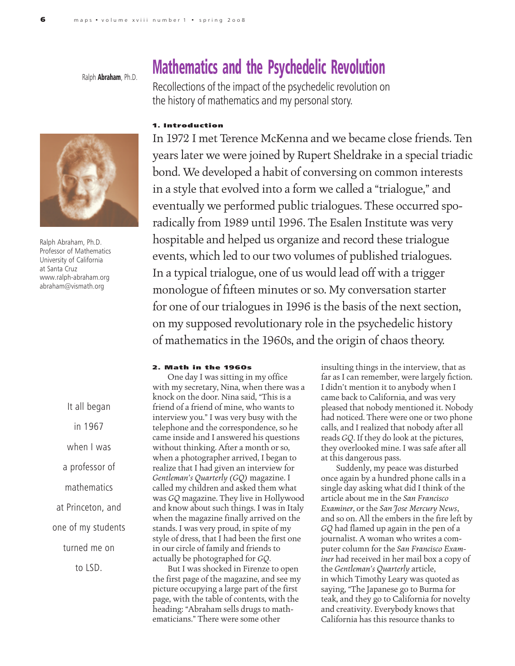## Mathematics and the Psychedelic Revolution

Ralph Abraham, Ph.D.



Ralph Abraham, Ph.D. Professor of Mathematics University of California at Santa Cruz www.ralph-abraham.org abraham@vismath.org

> It all began in 1967 when I was a professor of mathematics at Princeton, and one of my students turned me on to LSD.

Recollections of the impact of the psychedelic revolution on the history of mathematics and my personal story.

## 1. Introduction

In 1972 I met Terence McKenna and we became close friends. Ten years later we were joined by Rupert Sheldrake in a special triadic bond. We developed a habit of conversing on common interests in a style that evolved into a form we called a "trialogue," and eventually we performed public trialogues. These occurred sporadically from 1989 until 1996. The Esalen Institute was very hospitable and helped us organize and record these trialogue events, which led to our two volumes of published trialogues. In a typical trialogue, one of us would lead off with a trigger monologue of fifteen minutes or so. My conversation starter for one of our trialogues in 1996 is the basis of the next section, on my supposed revolutionary role in the psychedelic history of mathematics in the 1960s, and the origin of chaos theory.

## 2. Math in the 1960s

One day I was sitting in my office with my secretary, Nina, when there was a knock on the door. Nina said, "This is a friend of a friend of mine, who wants to interview you." I was very busy with the telephone and the correspondence, so he came inside and I answered his questions without thinking. After a month or so, when a photographer arrived, I began to realize that I had given an interview for *Gentleman's Quarterly (GQ)* magazine. I called my children and asked them what was *GQ* magazine. They live in Hollywood and know about such things. I was in Italy when the magazine finally arrived on the stands. I was very proud, in spite of my style of dress, that I had been the first one in our circle of family and friends to actually be photographed for *GQ*.

But I was shocked in Firenze to open the first page of the magazine, and see my picture occupying a large part of the first page, with the table of contents, with the heading: "Abraham sells drugs to mathematicians." There were some other

insulting things in the interview, that as far as I can remember, were largely fiction. I didn't mention it to anybody when I came back to California, and was very pleased that nobody mentioned it. Nobody had noticed. There were one or two phone calls, and I realized that nobody after all reads *GQ*. If they do look at the pictures, they overlooked mine. I was safe after all at this dangerous pass.

Suddenly, my peace was disturbed once again by a hundred phone calls in a single day asking what did I think of the article about me in the *San Francisco Examiner*, or the *San Jose Mercury News*, and so on. All the embers in the fire left by *GQ* had flamed up again in the pen of a journalist. A woman who writes a computer column for the *San Francisco Examiner* had received in her mail box a copy of the *Gentleman's Quarterly* article, in which Timothy Leary was quoted as saying, "The Japanese go to Burma for teak, and they go to California for novelty and creativity. Everybody knows that California has this resource thanks to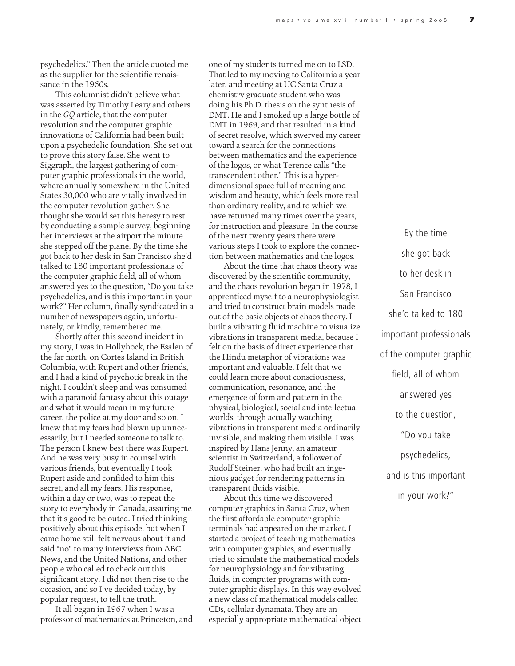psychedelics." Then the article quoted me as the supplier for the scientific renaissance in the 1960s.

This columnist didn't believe what was asserted by Timothy Leary and others in the *GQ* article, that the computer revolution and the computer graphic innovations of California had been built upon a psychedelic foundation. She set out to prove this story false. She went to Siggraph, the largest gathering of computer graphic professionals in the world, where annually somewhere in the United States 30,000 who are vitally involved in the computer revolution gather. She thought she would set this heresy to rest by conducting a sample survey, beginning her interviews at the airport the minute she stepped off the plane. By the time she got back to her desk in San Francisco she'd talked to 180 important professionals of the computer graphic field, all of whom answered yes to the question, "Do you take psychedelics, and is this important in your work?" Her column, finally syndicated in a number of newspapers again, unfortunately, or kindly, remembered me.

Shortly after this second incident in my story, I was in Hollyhock, the Esalen of the far north, on Cortes Island in British Columbia, with Rupert and other friends, and I had a kind of psychotic break in the night. I couldn't sleep and was consumed with a paranoid fantasy about this outage and what it would mean in my future career, the police at my door and so on. I knew that my fears had blown up unnecessarily, but I needed someone to talk to. The person I knew best there was Rupert. And he was very busy in counsel with various friends, but eventually I took Rupert aside and confided to him this secret, and all my fears. His response, within a day or two, was to repeat the story to everybody in Canada, assuring me that it's good to be outed. I tried thinking positively about this episode, but when I came home still felt nervous about it and said "no" to many interviews from ABC News, and the United Nations, and other people who called to check out this significant story. I did not then rise to the occasion, and so I've decided today, by popular request, to tell the truth.

It all began in 1967 when I was a professor of mathematics at Princeton, and one of my students turned me on to LSD. That led to my moving to California a year later, and meeting at UC Santa Cruz a chemistry graduate student who was doing his Ph.D. thesis on the synthesis of DMT. He and I smoked up a large bottle of DMT in 1969, and that resulted in a kind of secret resolve, which swerved my career toward a search for the connections between mathematics and the experience of the logos, or what Terence calls "the transcendent other." This is a hyperdimensional space full of meaning and wisdom and beauty, which feels more real than ordinary reality, and to which we have returned many times over the years, for instruction and pleasure. In the course of the next twenty years there were various steps I took to explore the connection between mathematics and the logos.

About the time that chaos theory was discovered by the scientific community, and the chaos revolution began in 1978, I apprenticed myself to a neurophysiologist and tried to construct brain models made out of the basic objects of chaos theory. I built a vibrating fluid machine to visualize vibrations in transparent media, because I felt on the basis of direct experience that the Hindu metaphor of vibrations was important and valuable. I felt that we could learn more about consciousness, communication, resonance, and the emergence of form and pattern in the physical, biological, social and intellectual worlds, through actually watching vibrations in transparent media ordinarily invisible, and making them visible. I was inspired by Hans Jenny, an amateur scientist in Switzerland, a follower of Rudolf Steiner, who had built an ingenious gadget for rendering patterns in transparent fluids visible.

About this time we discovered computer graphics in Santa Cruz, when the first affordable computer graphic terminals had appeared on the market. I started a project of teaching mathematics with computer graphics, and eventually tried to simulate the mathematical models for neurophysiology and for vibrating fluids, in computer programs with computer graphic displays. In this way evolved a new class of mathematical models called CDs, cellular dynamata. They are an especially appropriate mathematical object

By the time she got back to her desk in San Francisco she'd talked to 180 important professionals of the computer graphic field, all of whom answered yes to the question, "Do you take psychedelics, and is this important in your work?"